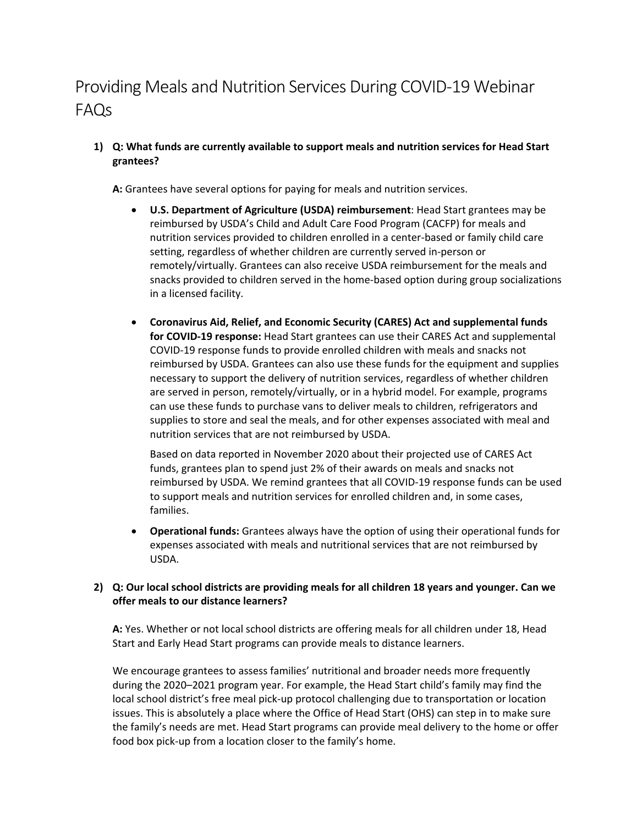# Providing Meals and Nutrition Services During COVID-19 Webinar FAQs

**1) Q: What funds are currently available to support meals and nutrition services for Head Start grantees?**

**A:** Grantees have several options for paying for meals and nutrition services.

- · **U.S. Department of Agriculture (USDA) reimbursement**: Head Start grantees may be reimbursed by USDA's Child and Adult Care Food Program (CACFP) for meals and nutrition services provided to children enrolled in a center-based or family child care setting, regardless of whether children are currently served in-person or remotely/virtually. Grantees can also receive USDA reimbursement for the meals and snacks provided to children served in the home-based option during group socializations in a licensed facility.
- · **Coronavirus Aid, Relief, and Economic Security (CARES) Act and supplemental funds for COVID-19 response:** Head Start grantees can use their CARES Act and supplemental COVID-19 response funds to provide enrolled children with meals and snacks not reimbursed by USDA. Grantees can also use these funds for the equipment and supplies necessary to support the delivery of nutrition services, regardless of whether children are served in person, remotely/virtually, or in a hybrid model. For example, programs can use these funds to purchase vans to deliver meals to children, refrigerators and supplies to store and seal the meals, and for other expenses associated with meal and nutrition services that are not reimbursed by USDA.

Based on data reported in November 2020 about their projected use of CARES Act funds, grantees plan to spend just 2% of their awards on meals and snacks not reimbursed by USDA. We remind grantees that all COVID-19 response funds can be used to support meals and nutrition services for enrolled children and, in some cases, families.

· **Operational funds:** Grantees always have the option of using their operational funds for expenses associated with meals and nutritional services that are not reimbursed by USDA.

# **2) Q: Our local school districts are providing meals for all children 18 years and younger. Can we offer meals to our distance learners?**

**A:** Yes. Whether or not local school districts are offering meals for all children under 18, Head Start and Early Head Start programs can provide meals to distance learners.

We encourage grantees to assess families' nutritional and broader needs more frequently during the 2020–2021 program year. For example, the Head Start child's family may find the local school district's free meal pick-up protocol challenging due to transportation or location issues. This is absolutely a place where the Office of Head Start (OHS) can step in to make sure the family's needs are met. Head Start programs can provide meal delivery to the home or offer food box pick-up from a location closer to the family's home.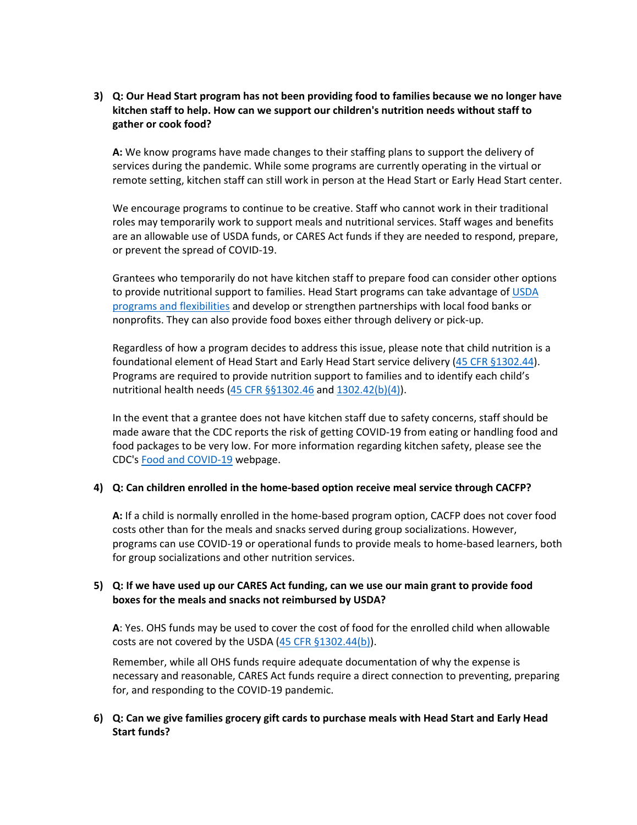**3) Q: Our Head Start program has not been providing food to families because we no longer have kitchen staff to help. How can we support our children's nutrition needs without staff to gather or cook food?**

**A:** We know programs have made changes to their staffing plans to support the delivery of services during the pandemic. While some programs are currently operating in the virtual or remote setting, kitchen staff can still work in person at the Head Start or Early Head Start center.

We encourage programs to continue to be creative. Staff who cannot work in their traditional roles may temporarily work to support meals and nutritional services. Staff wages and benefits are an allowable use of USDA funds, or CARES Act funds if they are needed to respond, prepare, or prevent the spread of COVID-19.

Grantees who temporarily do not have kitchen staff to prepare food can consider other options to provide nutritional support to families. Head Start programs can take advantage of USDA [programs and flexibilities](https://www.fns.usda.gov/coronavirus) and develop or strengthen partnerships with local food banks or nonprofits. They can also provide food boxes either through delivery or pick-up.

Regardless of how a program decides to address this issue, please note that child nutrition is a foundational element of Head Start and Early Head Start service delivery ([45 CFR §1302.44](https://eclkc.ohs.acf.hhs.gov/policy/45-cfr-chap-xiii/1302-44-child-nutrition)). Programs are required to provide nutrition support to families and to identify each child's nutritional health needs [\(45 CFR §§1302.46](https://eclkc.ohs.acf.hhs.gov/policy/45-cfr-chap-xiii/1302-46-family-support-services-health-nutrition-mental-health) and [1302.42\(b\)\(4\)](https://eclkc.ohs.acf.hhs.gov/policy/45-cfr-chap-xiii/1302-42-child-health-status-care)).

In the event that a grantee does not have kitchen staff due to safety concerns, staff should be made aware that the CDC reports the risk of getting COVID-19 from eating or handling food and food packages to be very low. For more information regarding kitchen safety, please see the CDC's [Food and COVID-19](https://www.cdc.gov/coronavirus/2019-ncov/daily-life-coping/food-and-COVID-19.html#:~:text=Food%20safety%20in%20the%20kitchen&text=Currently%2C%20there%20is%20no%20evidence%20that%20the%20virus%20that%20causes,temperatures%20to%20prevent%20foodborne%20illness) webpage.

## **4) Q: Can children enrolled in the home-based option receive meal service through CACFP?**

**A:** If a child is normally enrolled in the home-based program option, CACFP does not cover food costs other than for the meals and snacks served during group socializations. However, programs can use COVID-19 or operational funds to provide meals to home-based learners, both for group socializations and other nutrition services.

## **5) Q: If we have used up our CARES Act funding, can we use our main grant to provide food boxes for the meals and snacks not reimbursed by USDA?**

**A**: Yes. OHS funds may be used to cover the cost of food for the enrolled child when allowable costs are not covered by the USDA  $(45$  CFR §1302.44(b)).

Remember, while all OHS funds require adequate documentation of why the expense is necessary and reasonable, CARES Act funds require a direct connection to preventing, preparing for, and responding to the COVID-19 pandemic.

## **6) Q: Can we give families grocery gift cards to purchase meals with Head Start and Early Head Start funds?**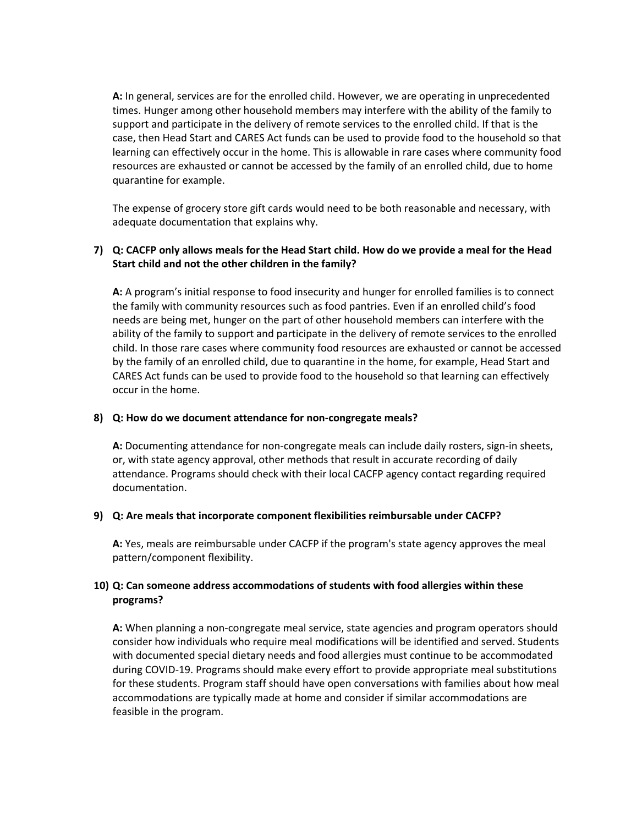**A:** In general, services are for the enrolled child. However, we are operating in unprecedented times. Hunger among other household members may interfere with the ability of the family to support and participate in the delivery of remote services to the enrolled child. If that is the case, then Head Start and CARES Act funds can be used to provide food to the household so that learning can effectively occur in the home. This is allowable in rare cases where community food resources are exhausted or cannot be accessed by the family of an enrolled child, due to home quarantine for example.

The expense of grocery store gift cards would need to be both reasonable and necessary, with adequate documentation that explains why.

## **7) Q: CACFP only allows meals for the Head Start child. How do we provide a meal for the Head Start child and not the other children in the family?**

**A:** A program's initial response to food insecurity and hunger for enrolled families is to connect the family with community resources such as food pantries. Even if an enrolled child's food needs are being met, hunger on the part of other household members can interfere with the ability of the family to support and participate in the delivery of remote services to the enrolled child. In those rare cases where community food resources are exhausted or cannot be accessed by the family of an enrolled child, due to quarantine in the home, for example, Head Start and CARES Act funds can be used to provide food to the household so that learning can effectively occur in the home.

## **8) Q: How do we document attendance for non-congregate meals?**

**A:** Documenting attendance for non-congregate meals can include daily rosters, sign-in sheets, or, with state agency approval, other methods that result in accurate recording of daily attendance. Programs should check with their local CACFP agency contact regarding required documentation.

#### **9) Q: Are meals that incorporate component flexibilities reimbursable under CACFP?**

**A:** Yes, meals are reimbursable under CACFP if the program's state agency approves the meal pattern/component flexibility.

# **10) Q: Can someone address accommodations of students with food allergies within these programs?**

**A:** When planning a non-congregate meal service, state agencies and program operators should consider how individuals who require meal modifications will be identified and served. Students with documented special dietary needs and food allergies must continue to be accommodated during COVID-19. Programs should make every effort to provide appropriate meal substitutions for these students. Program staff should have open conversations with families about how meal accommodations are typically made at home and consider if similar accommodations are feasible in the program.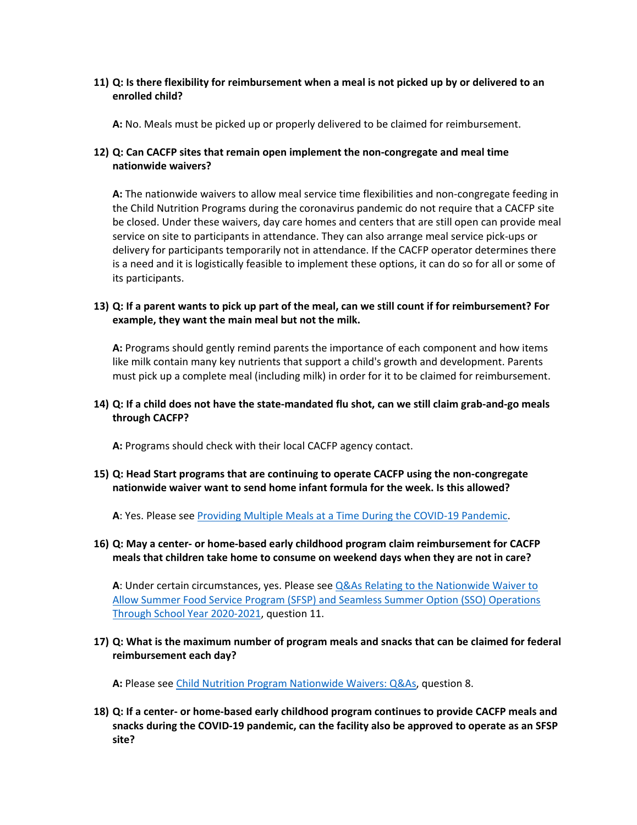## **11) Q: Is there flexibility for reimbursement when a meal is not picked up by or delivered to an enrolled child?**

**A:** No. Meals must be picked up or properly delivered to be claimed for reimbursement.

# **12) Q: Can CACFP sites that remain open implement the non-congregate and meal time nationwide waivers?**

**A:** The nationwide waivers to allow meal service time flexibilities and non-congregate feeding in the Child Nutrition Programs during the coronavirus pandemic do not require that a CACFP site be closed. Under these waivers, day care homes and centers that are still open can provide meal service on site to participants in attendance. They can also arrange meal service pick-ups or delivery for participants temporarily not in attendance. If the CACFP operator determines there is a need and it is logistically feasible to implement these options, it can do so for all or some of its participants.

## **13) Q: If a parent wants to pick up part of the meal, can we still count if for reimbursement? For example, they want the main meal but not the milk.**

**A:** Programs should gently remind parents the importance of each component and how items like milk contain many key nutrients that support a child's growth and development. Parents must pick up a complete meal (including milk) in order for it to be claimed for reimbursement.

## **14) Q: If a child does not have the state-mandated flu shot, can we still claim grab-and-go meals through CACFP?**

**A:** Programs should check with their local CACFP agency contact.

# **15) Q: Head Start programs that are continuing to operate CACFP using the non-congregate nationwide waiver want to send home infant formula for the week. Is this allowed?**

**A**: Yes. Please see [Providing Multiple Meals at a Time During the COVID-19 Pandemic](https://www.fns.usda.gov/tn/providing-multiple-cacfp-meals-during-coronavirus).

# **16) Q: May a center- or home-based early childhood program claim reimbursement for CACFP meals that children take home to consume on weekend days when they are not in care?**

**A**: Under certain circumstances, yes. Please see [Q&As Relating to the Nationwide Waiver to](https://www.fns.usda.gov/disaster/pandemic/covid-19/qas2-nationwide-waiver-sfsp-seamless-summer-through-sy-2020-21)  [Allow Summer Food Service Program](https://www.fns.usda.gov/disaster/pandemic/covid-19/qas2-nationwide-waiver-sfsp-seamless-summer-through-sy-2020-21) (SFSP) and Seamless Summer Option (SSO) Operations [Through School Year 2020-2021](https://www.fns.usda.gov/disaster/pandemic/covid-19/qas2-nationwide-waiver-sfsp-seamless-summer-through-sy-2020-21), question 11.

# **17) Q: What is the maximum number of program meals and snacks that can be claimed for federal reimbursement each day?**

**A:** Please see [Child Nutrition Program Nationwide Waivers: Q&As](https://www.fns.usda.gov/cn/covid-19/nationwide-waivers-qas), question 8.

**18) Q: If a center- or home-based early childhood program continues to provide CACFP meals and snacks during the COVID-19 pandemic, can the facility also be approved to operate as an SFSP site?**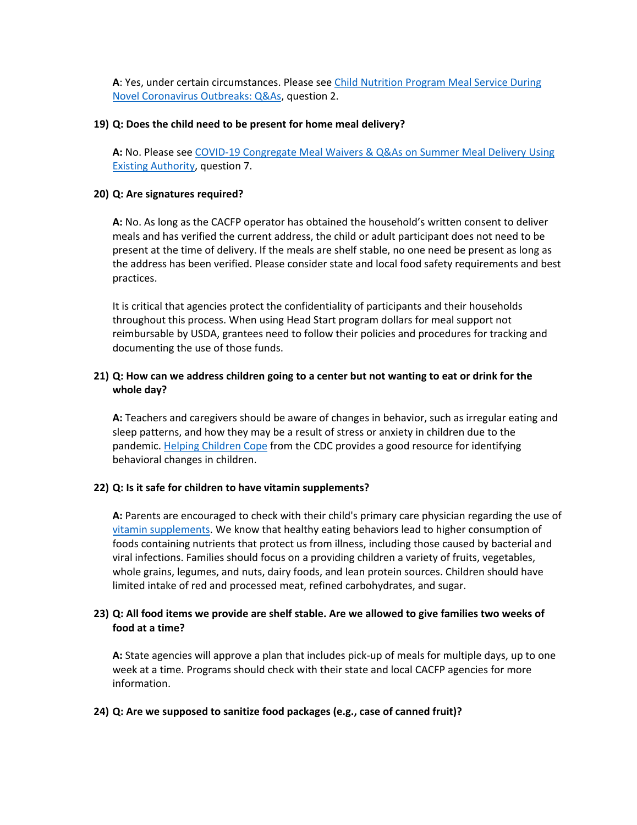**A**: Yes, under certain circumstances. Please see [Child Nutrition Program Meal Service During](https://protect2.fireeye.com/v1/url?k=7e4d2686-21d61e52-7e4d17b9-0cc47a6d17cc-44695e8b5aa8b68b&q=1&e=f9668c7e-18ed-420a-ad24-a376816b4bd4&u=https%3A%2F%2Ffns-prod.azureedge.net%2Fsites%2Fdefault%2Ffiles%2Fresource-files%2FSP15_CACFP09_SFSP08-2020os.pdf)  [Novel Coronavirus Outbreaks: Q&As](https://protect2.fireeye.com/v1/url?k=7e4d2686-21d61e52-7e4d17b9-0cc47a6d17cc-44695e8b5aa8b68b&q=1&e=f9668c7e-18ed-420a-ad24-a376816b4bd4&u=https%3A%2F%2Ffns-prod.azureedge.net%2Fsites%2Fdefault%2Ffiles%2Fresource-files%2FSP15_CACFP09_SFSP08-2020os.pdf), question 2.

## **19) Q: Does the child need to be present for home meal delivery?**

**A:** No. Please see [COVID-19 Congregate Meal Waivers & Q&As on Summer Meal Delivery Using](https://www.fns.usda.gov/sfsp/covid-19/covid-19-meal-delivery)  [Existing Authority](https://www.fns.usda.gov/sfsp/covid-19/covid-19-meal-delivery), question 7.

## **20) Q: Are signatures required?**

**A:** No. As long as the CACFP operator has obtained the household's written consent to deliver meals and has verified the current address, the child or adult participant does not need to be present at the time of delivery. If the meals are shelf stable, no one need be present as long as the address has been verified. Please consider state and local food safety requirements and best practices.

It is critical that agencies protect the confidentiality of participants and their households throughout this process. When using Head Start program dollars for meal support not reimbursable by USDA, grantees need to follow their policies and procedures for tracking and documenting the use of those funds.

# **21) Q: How can we address children going to a center but not wanting to eat or drink for the whole day?**

**A:** Teachers and caregivers should be aware of changes in behavior, such as irregular eating and sleep patterns, and how they may be a result of stress or anxiety in children due to the pandemic. [Helping Children Cope](https://www.cdc.gov/coronavirus/2019-ncov/daily-life-coping/for-parents.html) from the CDC provides a good resource for identifying behavioral changes in children.

## **22) Q: Is it safe for children to have vitamin supplements?**

**A:** Parents are encouraged to check with their child's primary care physician regarding the use of [vitamin supplements.](https://www.hsph.harvard.edu/nutritionsource/2020/04/01/ask-the-expert-the-role-of-diet-and-nutritional-supplements-during-covid-19/) We know that healthy eating behaviors lead to higher consumption of foods containing nutrients that protect us from illness, including those caused by bacterial and viral infections. Families should focus on a providing children a variety of fruits, vegetables, whole grains, legumes, and nuts, dairy foods, and lean protein sources. Children should have limited intake of red and processed meat, refined carbohydrates, and sugar.

## **23) Q: All food items we provide are shelf stable. Are we allowed to give families two weeks of food at a time?**

**A:** State agencies will approve a plan that includes pick-up of meals for multiple days, up to one week at a time. Programs should check with their state and local CACFP agencies for more information.

#### **24) Q: Are we supposed to sanitize food packages (e.g., case of canned fruit)?**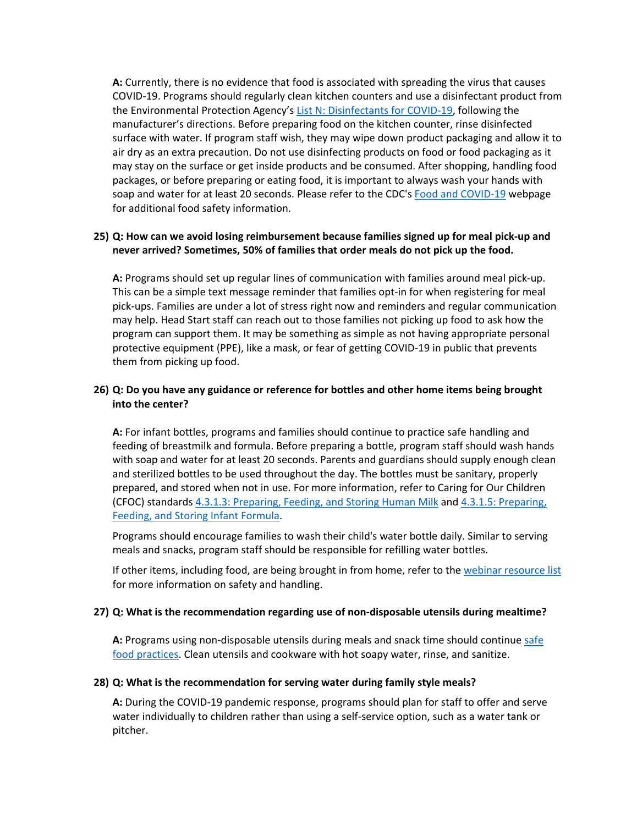**A:** Currently, there is no evidence that food is associated with spreading the virus that causes COVID-19. Programs should regularly clean kitchen counters and use a disinfectant product from the Environmental Protection Agency's [List N: Disinfectants for COVID-19](https://www.epa.gov/pesticide-registration/list-n-disinfectants-coronavirus-covid-19), following the manufacturer's directions. Before preparing food on the kitchen counter, rinse disinfected surface with water. If program staff wish, they may wipe down product packaging and allow it to air dry as an extra precaution. Do not use disinfecting products on food or food packaging as it may stay on the surface or get inside products and be consumed. After shopping, handling food packages, or before preparing or eating food, it is important to always wash your hands with soap and water for at least 20 seconds. Please refer to the CDC's [Food and COVID-19](https://www.cdc.gov/coronavirus/2019-ncov/daily-life-coping/food-and-COVID-19.html) webpage for additional food safety information.

## **25) Q: How can we avoid losing reimbursement because families signed up for meal pick-up and never arrived? Sometimes, 50% of families that order meals do not pick up the food.**

**A:** Programs should set up regular lines of communication with families around meal pick-up. This can be a simple text message reminder that families opt-in for when registering for meal pick-ups. Families are under a lot of stress right now and reminders and regular communication may help. Head Start staff can reach out to those families not picking up food to ask how the program can support them. It may be something as simple as not having appropriate personal protective equipment (PPE), like a mask, or fear of getting COVID-19 in public that prevents them from picking up food.

# **26) Q: Do you have any guidance or reference for bottles and other home items being brought into the center?**

**A:** For infant bottles, programs and families should continue to practice safe handling and feeding of breastmilk and formula. Before preparing a bottle, program staff should wash hands with soap and water for at least 20 seconds. Parents and guardians should supply enough clean and sterilized bottles to be used throughout the day. The bottles must be sanitary, properly prepared, and stored when not in use. For more information, refer to Caring for Our Children (CFOC) standards [4.3.1.3: Preparing, Feeding, and Storing Human Milk](https://nrckids.org/CFOC/Database/4.3.1.3) and [4.3.1.5: Preparing,](https://nrckids.org/CFOC/Database/4.3.1.5)  [Feeding, and Storing Infant Formula](https://nrckids.org/CFOC/Database/4.3.1.5).

Programs should encourage families to wash their child's water bottle daily. Similar to serving meals and snacks, program staff should be responsible for refilling water bottles.

If other items, including food, are being brought in from home, refer to the [webinar resource list](https://goto.webcasts.com/viewer/event.jsp?ei=1414075&tp_key=1b8b9c9d4e) for more information on safety and handling.

## **27) Q: What is the recommendation regarding use of non-disposable utensils during mealtime?**

**A:** Programs using non-disposable utensils during meals and snack time should continue [safe](https://www.sfdph.org/dph/files/EHSdocs/Covid19/Covid-19_Guidance_Food_Facilities.pdf)  [food practices](https://www.sfdph.org/dph/files/EHSdocs/Covid19/Covid-19_Guidance_Food_Facilities.pdf). Clean utensils and cookware with hot soapy water, rinse, and sanitize.

#### **28) Q: What is the recommendation for serving water during family style meals?**

**A:** During the COVID-19 pandemic response, programs should plan for staff to offer and serve water individually to children rather than using a self-service option, such as a water tank or pitcher.